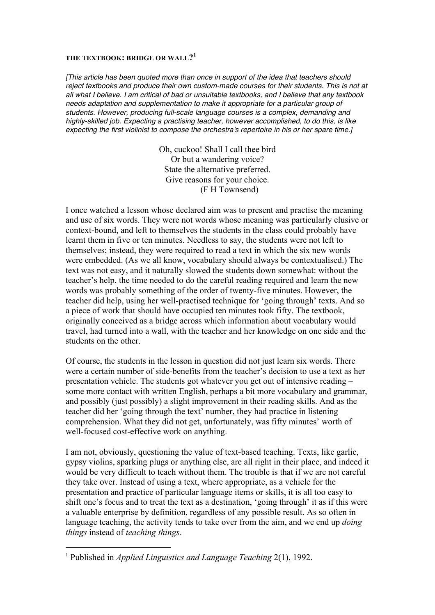## **THE TEXTBOOK: BRIDGE OR WALL?<sup>1</sup>**

*[This article has been quoted more than once in support of the idea that teachers should reject textbooks and produce their own custom-made courses for their students. This is not at all what I believe. I am critical of bad or unsuitable textbooks, and I believe that any textbook needs adaptation and supplementation to make it appropriate for a particular group of students. However, producing full-scale language courses is a complex, demanding and highly-skilled job. Expecting a practising teacher, however accomplished, to do this, is like expecting the first violinist to compose the orchestra's repertoire in his or her spare time.]*

> Oh, cuckoo! Shall I call thee bird Or but a wandering voice? State the alternative preferred. Give reasons for your choice. (F H Townsend)

I once watched a lesson whose declared aim was to present and practise the meaning and use of six words. They were not words whose meaning was particularly elusive or context-bound, and left to themselves the students in the class could probably have learnt them in five or ten minutes. Needless to say, the students were not left to themselves; instead, they were required to read a text in which the six new words were embedded. (As we all know, vocabulary should always be contextualised.) The text was not easy, and it naturally slowed the students down somewhat: without the teacher's help, the time needed to do the careful reading required and learn the new words was probably something of the order of twenty-five minutes. However, the teacher did help, using her well-practised technique for 'going through' texts. And so a piece of work that should have occupied ten minutes took fifty. The textbook, originally conceived as a bridge across which information about vocabulary would travel, had turned into a wall, with the teacher and her knowledge on one side and the students on the other.

Of course, the students in the lesson in question did not just learn six words. There were a certain number of side-benefits from the teacher's decision to use a text as her presentation vehicle. The students got whatever you get out of intensive reading – some more contact with written English, perhaps a bit more vocabulary and grammar, and possibly (just possibly) a slight improvement in their reading skills. And as the teacher did her 'going through the text' number, they had practice in listening comprehension. What they did not get, unfortunately, was fifty minutes' worth of well-focused cost-effective work on anything.

I am not, obviously, questioning the value of text-based teaching. Texts, like garlic, gypsy violins, sparking plugs or anything else, are all right in their place, and indeed it would be very difficult to teach without them. The trouble is that if we are not careful they take over. Instead of using a text, where appropriate, as a vehicle for the presentation and practice of particular language items or skills, it is all too easy to shift one's focus and to treat the text as a destination, 'going through' it as if this were a valuable enterprise by definition, regardless of any possible result. As so often in language teaching, the activity tends to take over from the aim, and we end up *doing things* instead of *teaching things*.

 <sup>1</sup> Published in *Applied Linguistics and Language Teaching* 2(1), 1992.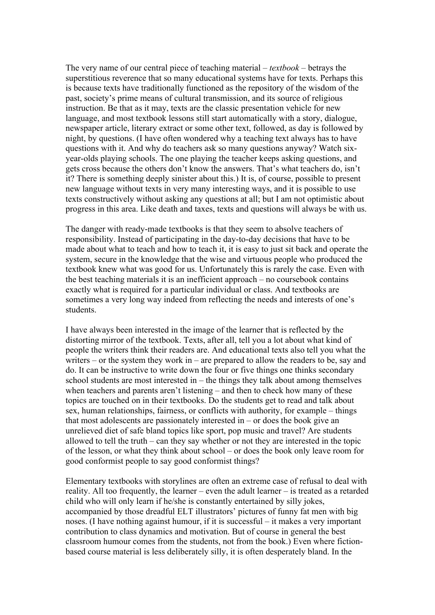The very name of our central piece of teaching material – *textbook* – betrays the superstitious reverence that so many educational systems have for texts. Perhaps this is because texts have traditionally functioned as the repository of the wisdom of the past, society's prime means of cultural transmission, and its source of religious instruction. Be that as it may, texts are the classic presentation vehicle for new language, and most textbook lessons still start automatically with a story, dialogue, newspaper article, literary extract or some other text, followed, as day is followed by night, by questions. (I have often wondered why a teaching text always has to have questions with it. And why do teachers ask so many questions anyway? Watch sixyear-olds playing schools. The one playing the teacher keeps asking questions, and gets cross because the others don't know the answers. That's what teachers do, isn't it? There is something deeply sinister about this.) It is, of course, possible to present new language without texts in very many interesting ways, and it is possible to use texts constructively without asking any questions at all; but I am not optimistic about progress in this area. Like death and taxes, texts and questions will always be with us.

The danger with ready-made textbooks is that they seem to absolve teachers of responsibility. Instead of participating in the day-to-day decisions that have to be made about what to teach and how to teach it, it is easy to just sit back and operate the system, secure in the knowledge that the wise and virtuous people who produced the textbook knew what was good for us. Unfortunately this is rarely the case. Even with the best teaching materials it is an inefficient approach – no coursebook contains exactly what is required for a particular individual or class. And textbooks are sometimes a very long way indeed from reflecting the needs and interests of one's students.

I have always been interested in the image of the learner that is reflected by the distorting mirror of the textbook. Texts, after all, tell you a lot about what kind of people the writers think their readers are. And educational texts also tell you what the writers – or the system they work in – are prepared to allow the readers to be, say and do. It can be instructive to write down the four or five things one thinks secondary school students are most interested in  $-$  the things they talk about among themselves when teachers and parents aren't listening – and then to check how many of these topics are touched on in their textbooks. Do the students get to read and talk about sex, human relationships, fairness, or conflicts with authority, for example – things that most adolescents are passionately interested in  $-$  or does the book give an unrelieved diet of safe bland topics like sport, pop music and travel? Are students allowed to tell the truth – can they say whether or not they are interested in the topic of the lesson, or what they think about school – or does the book only leave room for good conformist people to say good conformist things?

Elementary textbooks with storylines are often an extreme case of refusal to deal with reality. All too frequently, the learner – even the adult learner – is treated as a retarded child who will only learn if he/she is constantly entertained by silly jokes, accompanied by those dreadful ELT illustrators' pictures of funny fat men with big noses. (I have nothing against humour, if it is successful – it makes a very important contribution to class dynamics and motivation. But of course in general the best classroom humour comes from the students, not from the book.) Even where fictionbased course material is less deliberately silly, it is often desperately bland. In the